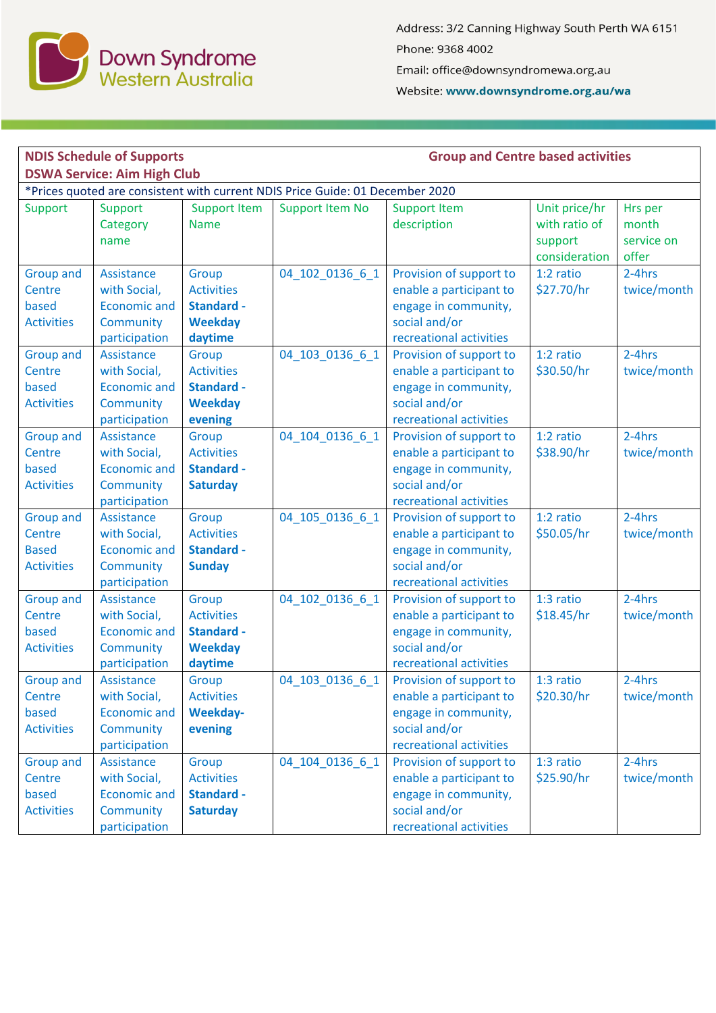

Address: 3/2 Canning Highway South Perth WA 6151 Phone: 9368 4002 Email: office@downsyndromewa.org.au

Website: www.downsyndrome.org.au/wa

| <b>NDIS Schedule of Supports</b>                                                                                    |                                                                                 |                                                                              |                        | <b>Group and Centre based activities</b>                                                                               |                                                            |                                         |  |  |  |  |  |
|---------------------------------------------------------------------------------------------------------------------|---------------------------------------------------------------------------------|------------------------------------------------------------------------------|------------------------|------------------------------------------------------------------------------------------------------------------------|------------------------------------------------------------|-----------------------------------------|--|--|--|--|--|
| <b>DSWA Service: Aim High Club</b><br>*Prices quoted are consistent with current NDIS Price Guide: 01 December 2020 |                                                                                 |                                                                              |                        |                                                                                                                        |                                                            |                                         |  |  |  |  |  |
| Support                                                                                                             | Support<br>Category<br>name                                                     | <b>Support Item</b><br><b>Name</b>                                           | <b>Support Item No</b> | <b>Support Item</b><br>description                                                                                     | Unit price/hr<br>with ratio of<br>support<br>consideration | Hrs per<br>month<br>service on<br>offer |  |  |  |  |  |
| <b>Group and</b><br>Centre<br>based<br><b>Activities</b>                                                            | Assistance<br>with Social,<br><b>Economic and</b><br>Community<br>participation | Group<br><b>Activities</b><br><b>Standard -</b><br><b>Weekday</b><br>daytime | 04 102 0136 6 1        | Provision of support to<br>enable a participant to<br>engage in community,<br>social and/or<br>recreational activities | $1:2$ ratio<br>\$27.70/hr                                  | 2-4hrs<br>twice/month                   |  |  |  |  |  |
| <b>Group and</b><br>Centre<br>based<br><b>Activities</b>                                                            | Assistance<br>with Social,<br><b>Economic and</b><br>Community<br>participation | Group<br><b>Activities</b><br><b>Standard -</b><br><b>Weekday</b><br>evening | 04 103 0136 6 1        | Provision of support to<br>enable a participant to<br>engage in community,<br>social and/or<br>recreational activities | 1:2 ratio<br>\$30.50/hr                                    | 2-4hrs<br>twice/month                   |  |  |  |  |  |
| <b>Group and</b><br>Centre<br>based<br><b>Activities</b>                                                            | Assistance<br>with Social,<br><b>Economic and</b><br>Community<br>participation | Group<br><b>Activities</b><br><b>Standard -</b><br><b>Saturday</b>           | 04 104 0136 6 1        | Provision of support to<br>enable a participant to<br>engage in community,<br>social and/or<br>recreational activities | 1:2 ratio<br>\$38.90/hr                                    | $2-4hrs$<br>twice/month                 |  |  |  |  |  |
| <b>Group and</b><br>Centre<br><b>Based</b><br><b>Activities</b>                                                     | Assistance<br>with Social,<br><b>Economic and</b><br>Community<br>participation | Group<br><b>Activities</b><br><b>Standard -</b><br><b>Sunday</b>             | 04 105 0136 6 1        | Provision of support to<br>enable a participant to<br>engage in community,<br>social and/or<br>recreational activities | 1:2 ratio<br>\$50.05/hr                                    | $2-4hrs$<br>twice/month                 |  |  |  |  |  |
| <b>Group and</b><br>Centre<br>based<br><b>Activities</b>                                                            | Assistance<br>with Social,<br><b>Economic and</b><br>Community<br>participation | Group<br><b>Activities</b><br><b>Standard -</b><br><b>Weekday</b><br>daytime | 04 102 0136 6 1        | Provision of support to<br>enable a participant to<br>engage in community,<br>social and/or<br>recreational activities | 1:3 ratio<br>\$18.45/hr                                    | $2-4hrs$<br>twice/month                 |  |  |  |  |  |
| <b>Group and</b><br>Centre<br>based<br><b>Activities</b>                                                            | Assistance<br>with Social,<br><b>Economic and</b><br>Community<br>participation | Group<br><b>Activities</b><br>Weekday-<br>evening                            | 04_103_0136_6_1        | Provision of support to<br>enable a participant to<br>engage in community,<br>social and/or<br>recreational activities | 1:3 ratio<br>\$20.30/hr                                    | 2-4hrs<br>twice/month                   |  |  |  |  |  |
| <b>Group and</b><br>Centre<br>based<br><b>Activities</b>                                                            | Assistance<br>with Social,<br><b>Economic and</b><br>Community<br>participation | Group<br><b>Activities</b><br><b>Standard -</b><br><b>Saturday</b>           | 04 104 0136 6 1        | Provision of support to<br>enable a participant to<br>engage in community,<br>social and/or<br>recreational activities | 1:3 ratio<br>\$25.90/hr                                    | 2-4hrs<br>twice/month                   |  |  |  |  |  |